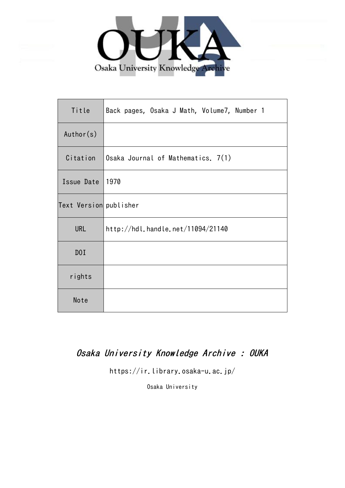

| Title                  | Back pages, Osaka J Math, Volume7, Number 1 |
|------------------------|---------------------------------------------|
| Author(s)              |                                             |
| Citation               | Osaka Journal of Mathematics. 7(1)          |
| Issue Date             | 1970                                        |
| Text Version publisher |                                             |
| <b>URL</b>             | http://hdl.handle.net/11094/21140           |
| DOI                    |                                             |
| rights                 |                                             |
| Note                   |                                             |

## Osaka University Knowledge Archive : OUKA

https://ir.library.osaka-u.ac.jp/

Osaka University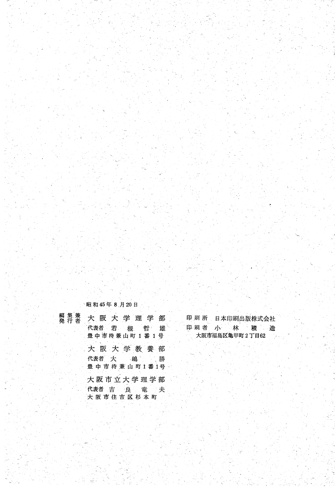昭和45年8月20日

| 編集兼<br>発行者 | 大阪大学理学部                                    |
|------------|--------------------------------------------|
|            | 代表者 若 槻 哲 雄<br>豊中市待兼山町1番1号                 |
|            | 大阪大学教養部<br>代表者 大   嶋<br>- 勝<br>豊中市待兼山町1番1号 |
|            | 大阪市立大学理学部<br>代表者 吉 良 竜<br>一夫<br>大阪市住吉区杉本町  |

印刷 所 日本印刷出版株式会社 印刷者 小林 積 造 大阪市福島区亀甲町2丁目62